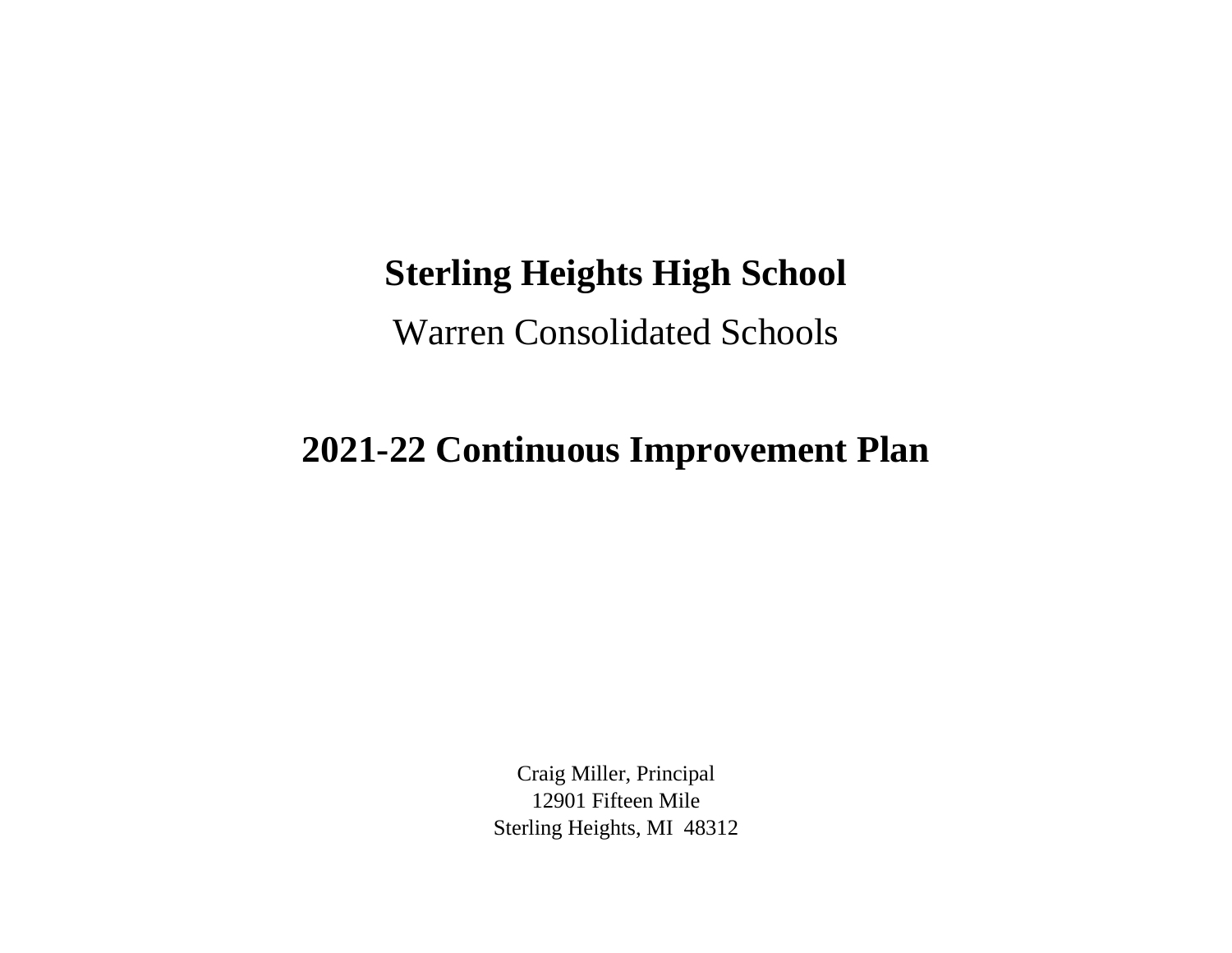## **Sterling Heights High School**

Warren Consolidated Schools

## **2021-22 Continuous Improvement Plan**

Craig Miller, Principal 12901 Fifteen Mile Sterling Heights, MI 48312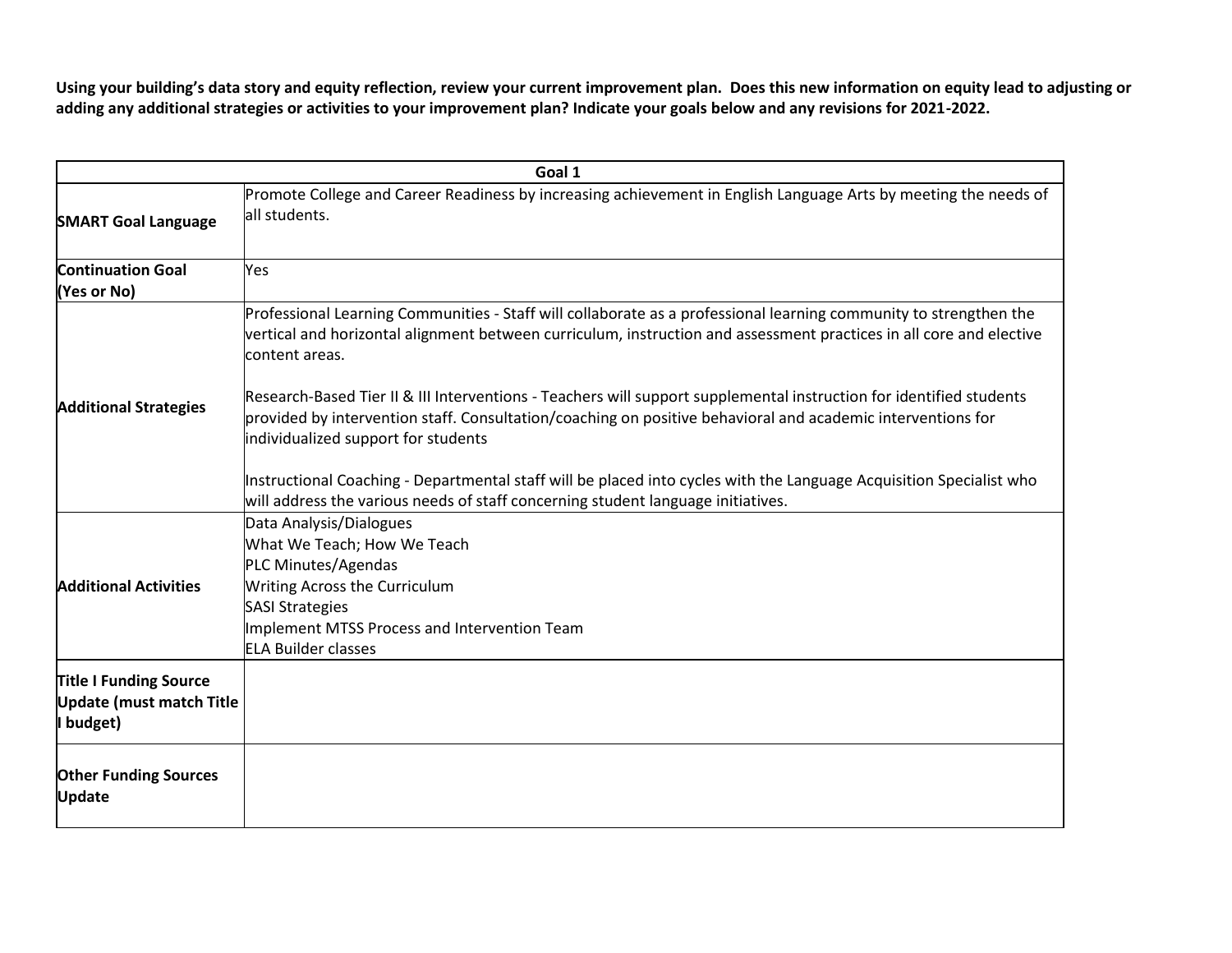**Using your building's data story and equity reflection, review your current improvement plan. Does this new information on equity lead to adjusting or adding any additional strategies or activities to your improvement plan? Indicate your goals below and any revisions for 2021-2022.**

| Goal 1                                                                        |                                                                                                                                                                                                                                                                           |  |
|-------------------------------------------------------------------------------|---------------------------------------------------------------------------------------------------------------------------------------------------------------------------------------------------------------------------------------------------------------------------|--|
| <b>SMART Goal Language</b>                                                    | Promote College and Career Readiness by increasing achievement in English Language Arts by meeting the needs of<br>all students.                                                                                                                                          |  |
| <b>Continuation Goal</b><br>(Yes or No)                                       | Yes                                                                                                                                                                                                                                                                       |  |
| <b>Additional Strategies</b>                                                  | Professional Learning Communities - Staff will collaborate as a professional learning community to strengthen the<br>vertical and horizontal alignment between curriculum, instruction and assessment practices in all core and elective<br>content areas.                |  |
|                                                                               | Research-Based Tier II & III Interventions - Teachers will support supplemental instruction for identified students<br>provided by intervention staff. Consultation/coaching on positive behavioral and academic interventions for<br>individualized support for students |  |
|                                                                               | Instructional Coaching - Departmental staff will be placed into cycles with the Language Acquisition Specialist who<br>will address the various needs of staff concerning student language initiatives.                                                                   |  |
| <b>Additional Activities</b>                                                  | Data Analysis/Dialogues<br>What We Teach; How We Teach                                                                                                                                                                                                                    |  |
|                                                                               | PLC Minutes/Agendas<br><b>Writing Across the Curriculum</b><br><b>SASI Strategies</b><br>Implement MTSS Process and Intervention Team<br><b>ELA Builder classes</b>                                                                                                       |  |
| <b>Title I Funding Source</b><br><b>Update (must match Title</b><br>I budget) |                                                                                                                                                                                                                                                                           |  |
| <b>Other Funding Sources</b><br><b>Update</b>                                 |                                                                                                                                                                                                                                                                           |  |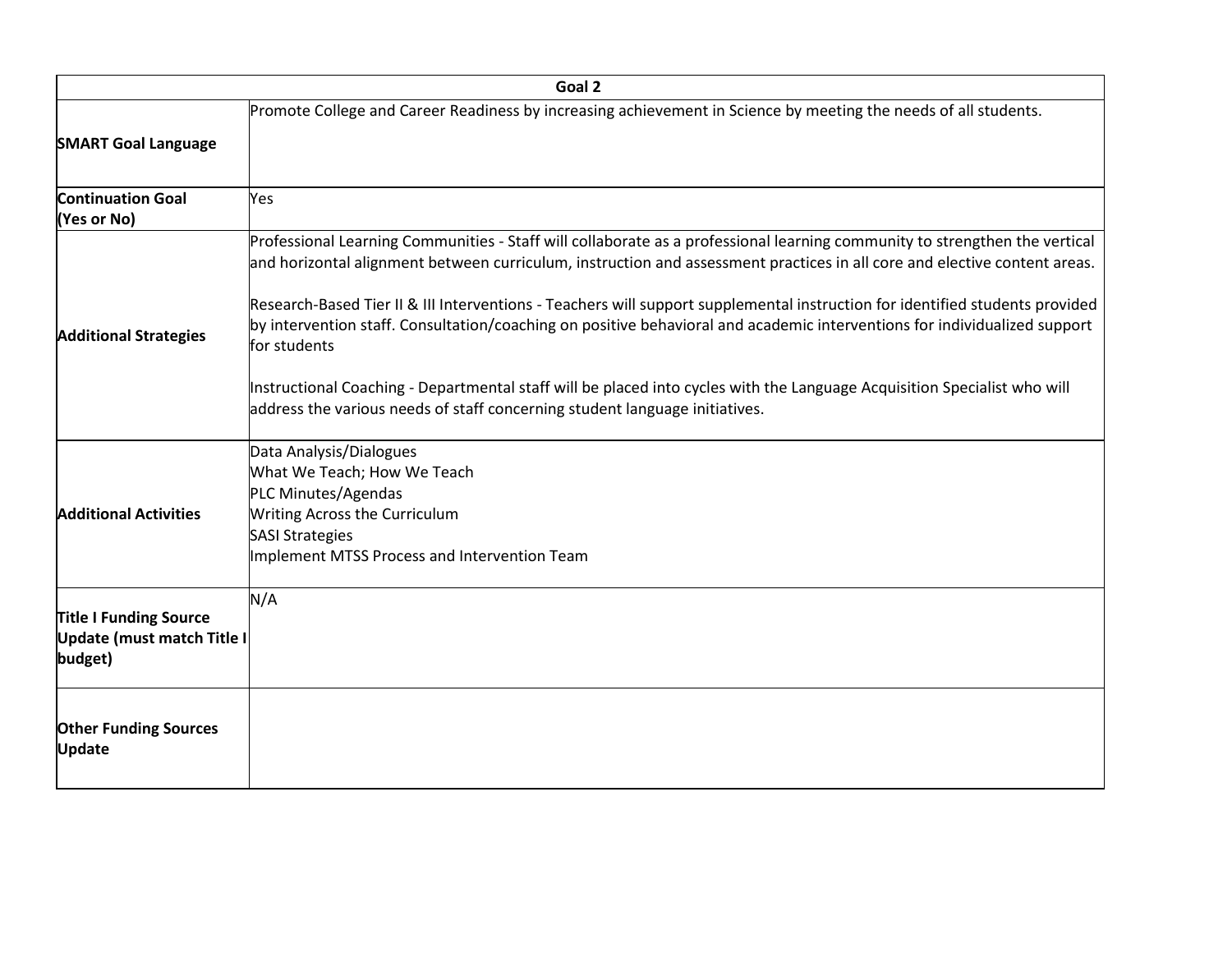|                                                                        | Goal 2                                                                                                                                                                                                                                                                                                                                                                                                                                                                                                                                                                                                                                                                                                                                          |
|------------------------------------------------------------------------|-------------------------------------------------------------------------------------------------------------------------------------------------------------------------------------------------------------------------------------------------------------------------------------------------------------------------------------------------------------------------------------------------------------------------------------------------------------------------------------------------------------------------------------------------------------------------------------------------------------------------------------------------------------------------------------------------------------------------------------------------|
| <b>SMART Goal Language</b>                                             | Promote College and Career Readiness by increasing achievement in Science by meeting the needs of all students.                                                                                                                                                                                                                                                                                                                                                                                                                                                                                                                                                                                                                                 |
| <b>Continuation Goal</b><br>(Yes or No)                                | Yes                                                                                                                                                                                                                                                                                                                                                                                                                                                                                                                                                                                                                                                                                                                                             |
| <b>Additional Strategies</b>                                           | Professional Learning Communities - Staff will collaborate as a professional learning community to strengthen the vertical<br>and horizontal alignment between curriculum, instruction and assessment practices in all core and elective content areas.<br>Research-Based Tier II & III Interventions - Teachers will support supplemental instruction for identified students provided<br>by intervention staff. Consultation/coaching on positive behavioral and academic interventions for individualized support<br>for students<br>Instructional Coaching - Departmental staff will be placed into cycles with the Language Acquisition Specialist who will<br>address the various needs of staff concerning student language initiatives. |
| <b>Additional Activities</b>                                           | Data Analysis/Dialogues<br>What We Teach; How We Teach<br>PLC Minutes/Agendas<br>Writing Across the Curriculum<br><b>SASI Strategies</b><br>Implement MTSS Process and Intervention Team                                                                                                                                                                                                                                                                                                                                                                                                                                                                                                                                                        |
| <b>Title I Funding Source</b><br>Update (must match Title I<br>budget) | N/A                                                                                                                                                                                                                                                                                                                                                                                                                                                                                                                                                                                                                                                                                                                                             |
| <b>Other Funding Sources</b><br><b>Update</b>                          |                                                                                                                                                                                                                                                                                                                                                                                                                                                                                                                                                                                                                                                                                                                                                 |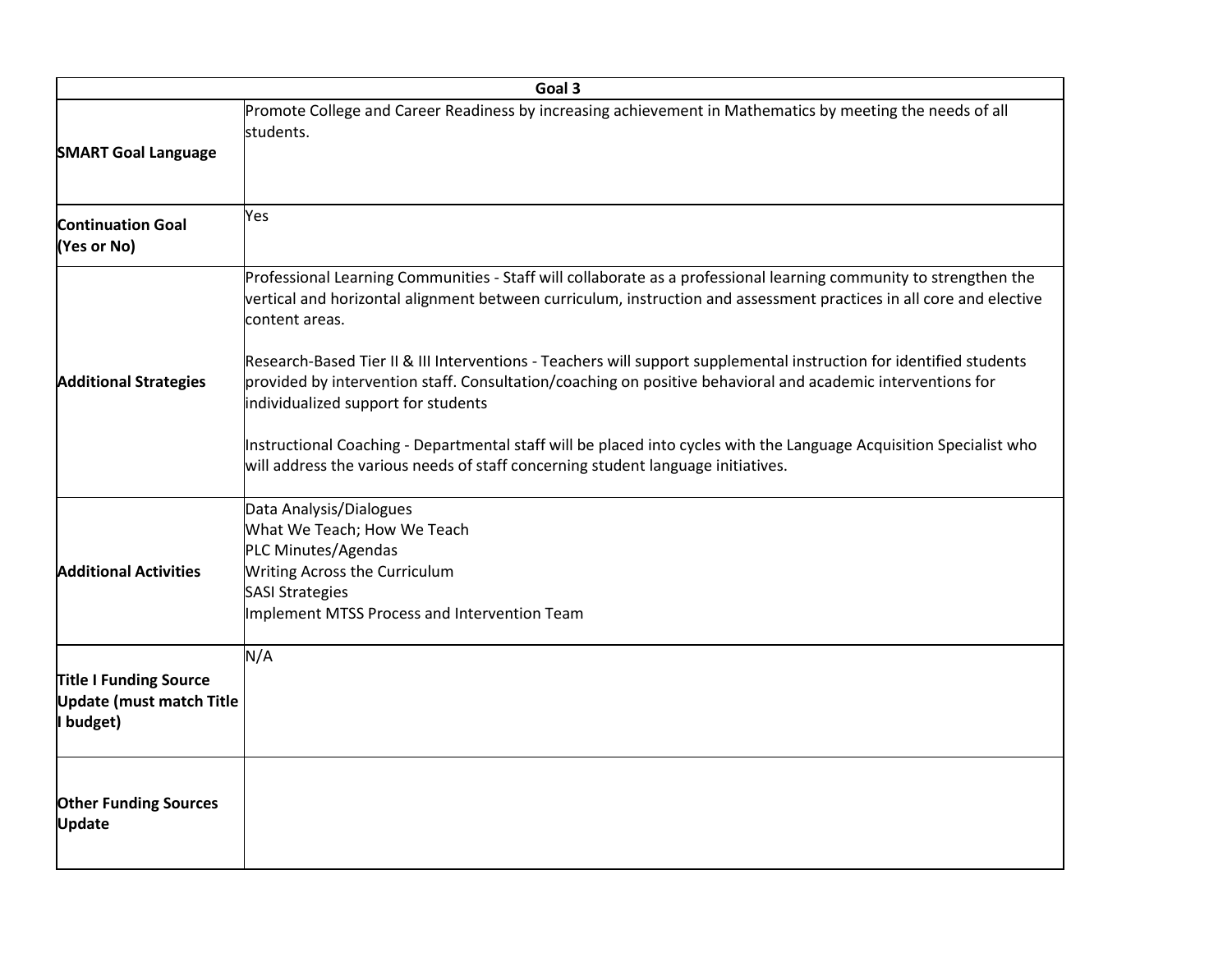|                                                                               | Goal 3                                                                                                                                                                                                                                                                                                                                                                            |
|-------------------------------------------------------------------------------|-----------------------------------------------------------------------------------------------------------------------------------------------------------------------------------------------------------------------------------------------------------------------------------------------------------------------------------------------------------------------------------|
| <b>SMART Goal Language</b>                                                    | Promote College and Career Readiness by increasing achievement in Mathematics by meeting the needs of all<br>students.                                                                                                                                                                                                                                                            |
| <b>Continuation Goal</b><br>(Yes or No)                                       | Yes                                                                                                                                                                                                                                                                                                                                                                               |
| <b>Additional Strategies</b>                                                  | Professional Learning Communities - Staff will collaborate as a professional learning community to strengthen the<br>vertical and horizontal alignment between curriculum, instruction and assessment practices in all core and elective<br>content areas.<br>Research-Based Tier II & III Interventions - Teachers will support supplemental instruction for identified students |
|                                                                               | provided by intervention staff. Consultation/coaching on positive behavioral and academic interventions for<br>individualized support for students<br>Instructional Coaching - Departmental staff will be placed into cycles with the Language Acquisition Specialist who<br>will address the various needs of staff concerning student language initiatives.                     |
| <b>Additional Activities</b>                                                  | Data Analysis/Dialogues<br>What We Teach; How We Teach<br>PLC Minutes/Agendas<br>Writing Across the Curriculum<br><b>SASI Strategies</b><br>Implement MTSS Process and Intervention Team                                                                                                                                                                                          |
| <b>Title I Funding Source</b><br><b>Update (must match Title</b><br>I budget) | N/A                                                                                                                                                                                                                                                                                                                                                                               |
| <b>Other Funding Sources</b><br><b>Update</b>                                 |                                                                                                                                                                                                                                                                                                                                                                                   |